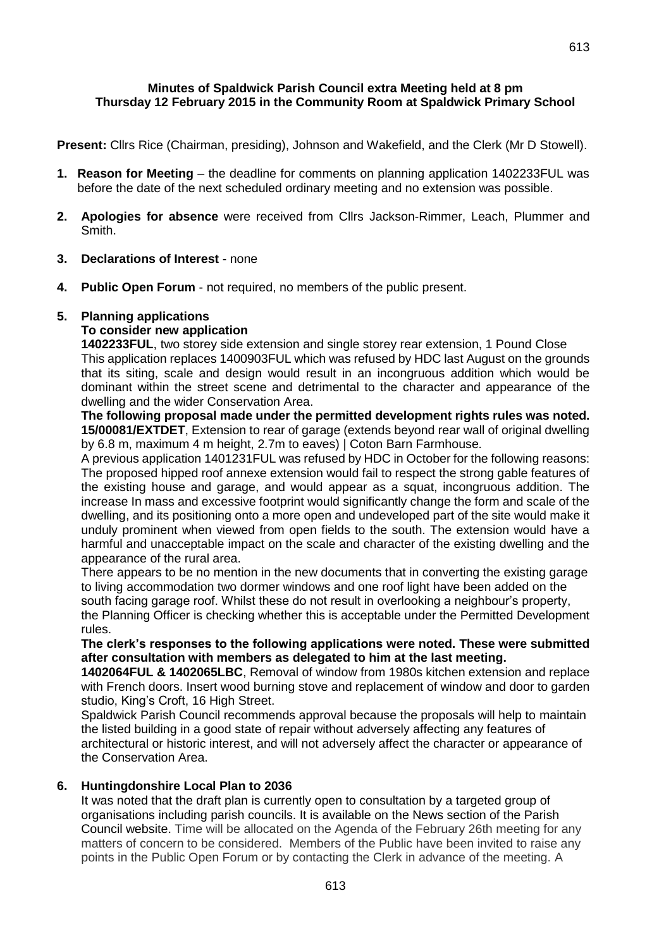## **Minutes of Spaldwick Parish Council extra Meeting held at 8 pm Thursday 12 February 2015 in the Community Room at Spaldwick Primary School**

**Present:** Cllrs Rice (Chairman, presiding), Johnson and Wakefield, and the Clerk (Mr D Stowell).

- **1. Reason for Meeting**  the deadline for comments on planning application 1402233FUL was before the date of the next scheduled ordinary meeting and no extension was possible.
- **2. Apologies for absence** were received from Cllrs Jackson-Rimmer, Leach, Plummer and Smith.
- **3. Declarations of Interest** none
- **4. Public Open Forum** not required, no members of the public present.

## **5. Planning applications**

## **To consider new application**

**1402233FUL**, two storey side extension and single storey rear extension, 1 Pound Close This application replaces 1400903FUL which was refused by HDC last August on the grounds that its siting, scale and design would result in an incongruous addition which would be dominant within the street scene and detrimental to the character and appearance of the dwelling and the wider Conservation Area.

**The following proposal made under the permitted development rights rules was noted. 15/00081/EXTDET**, Extension to rear of garage (extends beyond rear wall of original dwelling by 6.8 m, maximum 4 m height, 2.7m to eaves) | Coton Barn Farmhouse.

A previous application 1401231FUL was refused by HDC in October for the following reasons: The proposed hipped roof annexe extension would fail to respect the strong gable features of the existing house and garage, and would appear as a squat, incongruous addition. The increase In mass and excessive footprint would significantly change the form and scale of the dwelling, and its positioning onto a more open and undeveloped part of the site would make it unduly prominent when viewed from open fields to the south. The extension would have a harmful and unacceptable impact on the scale and character of the existing dwelling and the appearance of the rural area.

There appears to be no mention in the new documents that in converting the existing garage to living accommodation two dormer windows and one roof light have been added on the south facing garage roof. Whilst these do not result in overlooking a neighbour's property,

the Planning Officer is checking whether this is acceptable under the Permitted Development rules.

## **The clerk's responses to the following applications were noted. These were submitted after consultation with members as delegated to him at the last meeting.**

**1402064FUL & 1402065LBC**, Removal of window from 1980s kitchen extension and replace with French doors. Insert wood burning stove and replacement of window and door to garden studio, King's Croft, 16 High Street.

Spaldwick Parish Council recommends approval because the proposals will help to maintain the listed building in a good state of repair without adversely affecting any features of architectural or historic interest, and will not adversely affect the character or appearance of the Conservation Area.

## **6. Huntingdonshire Local Plan to 2036**

It was noted that the draft plan is currently open to consultation by a targeted group of organisations including parish councils. It is available on the News section of the Parish Council website. Time will be allocated on the Agenda of the February 26th meeting for any matters of concern to be considered. Members of the Public have been invited to raise any points in the Public Open Forum or by contacting the Clerk in advance of the meeting. A